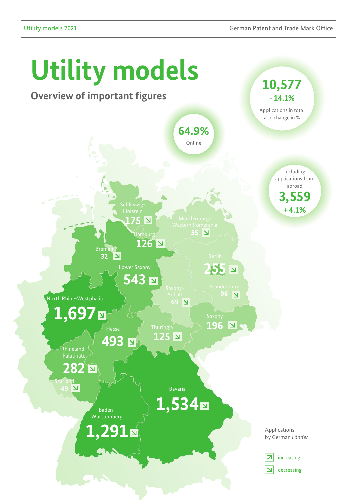